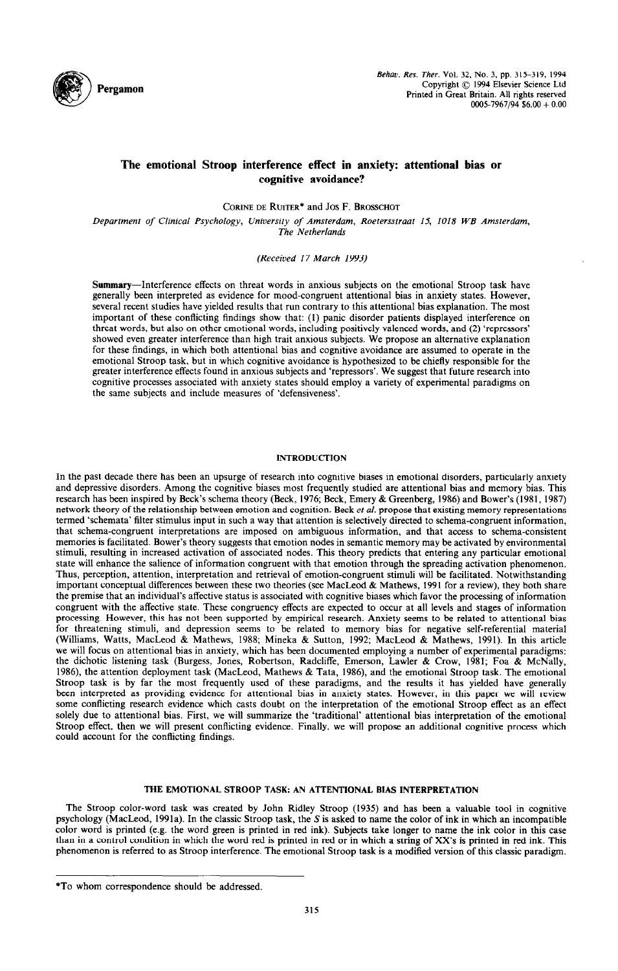

# **The emotional Stroop interference effect in anxiety: attentional bias or cognitive avoidance?**

CORINE DE RUITER<sup>\*</sup> and JOS F. BROSSCHOT

*Department of Clinical Psychology, University of Amsterdam, Roetersstraat 15, IO18 WB Amsterdam, The Netherlands* 

*(Received 17 March 1993)* 

Summary-Interference effects on threat words in anxious subjects on the emotional Stroop task have generally been interpreted as evidence for mood-congruent attentional bias in anxiety states. However, several recent studies have yielded results that run contrary to this attentional bias explanation. The most important of these conflicting findings show that: (1) panic disorder patients displayed interference on threat words, but also on other emotional words, including positively valenced words, and (2) 'repressors' showed even greater interference than high trait anxious subjects. We propose an alternative explanation for these findings, in which both attentional bias and cognitive avoidance are assumed to operate in the emotional Stroop task, but in which cognitive avoidance is hypothesized to be chiefly responsible for the greater interference effects found in anxious subjects and 'repressors'. We suggest that future research into cognitive processes associated with anxiety states should employ a variety of experimental paradigms on the same subjects and include measures of 'defensiveness'.

## INTRODUCTION

In the past decade there has been an upsurge of research into cognitive biases in emotional disorders, particularly anxiety and depressive disorders. Among the cognitive biases most frequently studied are attentional bias and memory bias. This research has been inspired by Beck's schema theory (Beck, 1976; Beck, Emery &Greenberg, 1986) and Bower's (1981, 1987) network theory of the relationship between emotion and cognition. Beck et *al.* propose that existing memory representations termed 'schemata' filter stimulus input in such a way that attention is selectively directed to schema-congruent information, that schema-congruent interpretations are imposed on ambiguous information, and that access to schema-consistent memories is facilitated. Bower's theory suggests that emotion nodes in semantic memory may be activated by environmental stimuli, resulting in increased activation of associated nodes. This theory predicts that entering any particular emotional state will enhance the salience of information congruent with that emotion through the spreading activation phenomenon, Thus, perception, attention, interpretation and retrieval of emotion-congruent stimuli will be facilitated. Notwithstanding important conceptual differences between these two theories (see MacLeod & Mathews, 1991 for a review), they both share the premise that an individual's affective status is associated with cognitive biases which favor the processing of information congruent with the affective state. These congruency effects are expected to occur at all levels and stages of information processing. However, this has not been supported by empirical research. Anxiety seems to be related to attentional bias for threatening stimuli, and depression seems to be related to memory bias for negative self-referential material (Williams, Watts, MacLeod & Mathews, 1988; Mineka & Sutton, 1992; MacLeod & Mathews, 1991). In this article we will focus on attentional bias in anxiety, which has been documented employing a number of experimental paradigms: the dichotic listening task (Burgess, Jones, Robertson, Radcliffe, Emerson, Lawler & Crow, 1981; Foa & McNally, 1986), the attention deployment task (MacLeod, Mathews & Tata, 1986), and the emotional Stroop task. The emotional Stroop task is by far the most frequently used of these paradigms, and the results it has yielded have generally been interpreted as providing evidence for attentional bias in anxiety states. However, in this paper we will review some conflicting research evidence which casts doubt on the interpretation of the emotional Stroop effect as an effect solely due to attentional bias. First, we will summarize the 'traditional' attentional bias interpretation of the emotional Stroop effect, then we will present conflicting evidence. Finally, we will propose an additional cognitive process which could account for the conflicting findings.

### THE EMOTIONAL STROOP TASK: AN ATTENTIONAL BIAS INTERPRETATION

The Stroop color-word task was created by John Ridley Stroop (1935) and has been a valuable tool in cognitive psychology (MacLeod, 1991a). In the classic Stroop task, the S is asked to name the color of ink in which an incompatible color word is printed (e.g. the word green is printed in red ink). Subjects take longer to name the ink color in this case than in a control condition in which the word red is printed in red or in which a string of Xx's is printed in red ink. This phenomenon is referred to as Stroop interference. The emotional Stroop task is a modified version of this classic paradigm.

<sup>\*</sup>To whom correspondence should be addressed.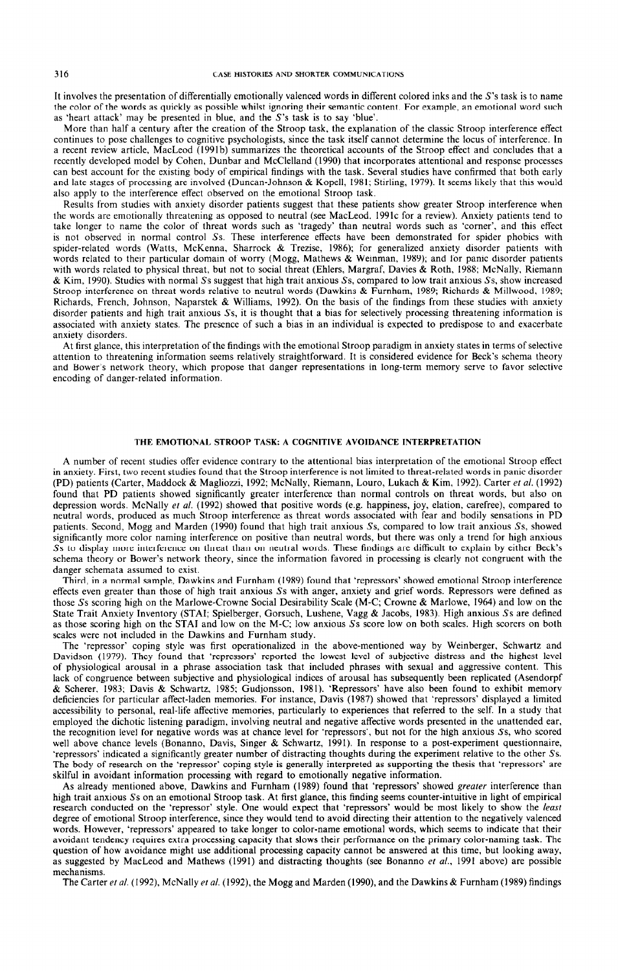It involves the presentation of differentially emotionally valenced words in different colored inks and the S's task is to name the color of the words as quickly as possible whilst ignoring their semantic content. For example, an emotional word such as 'heart attack' may be presented in blue, and the S's task is to say 'blue'.

More than half a century after the creation of the Stroop task, the explanation of the classic Stroop interference effect continues to pose challenges to cognitive psychologists, since the task itself cannot determine the locus of interference. In a recent review article, MacLeod (199lb) summarizes the theoretical accounts of the Stroop effect and concludes that a recently developed model by Cohen, Dunbar and McClelland (1990) that incorporates attentional and response processes can best account for the existing body of empirical findings with the task. Several studies have confirmed that both early and late stages of processing are involved (Duncan-Johnson & Kopell, 1981; Stirling, 1979). It seems likely that this would also apply to the interference effect observed on the emotional Stroop task.

Results from studies with anxiety disorder patients suggest that these patients show greater Stroop interference when the words are emotionally threatening as opposed to neutral (see MacLeod, 1991c for a review). Anxiety patients tend to take longer to name the color of threat words such as 'tragedy' than neutral words such as 'corner', and this effect is not observed in normal control Ss. These interference effects have been demonstrated for spider phobics with spider-related words (Watts, McKenna, Sharrock & Trezise, 1986); for generalized anxiety disorder patients with words related to their particular domain of worry (Mogg, Mathews & Weinman, 1989); and for panic disorder patient with words related to physical threat, but not to social threat (Ehlers, Margraf, Davies & Roth, 1988; McNally, Riemann & Kim. 1990). Studies with normal Ss suggest that high trait anxious Ss, compared to low trait anxious Ss, show increased Stroop interference on threat words relative to neutral words (Dawkins & Furnham, 1989; Richards & Millwood, 1989; Richards, French, Johnson, Naparstek & Williams, 1992). On the basis of the findings from these studies with anxiety disorder patients and high trait anxious Ss, it is thought that a bias for selectively processing threatening information is associated with anxiety states. The presence of such a bias in an individual is expected to predispose to and exacerbate anxiety disorders.

At first glance, this interpretation of the findings with the emotional Stroop paradigm in anxiety states in terms of selective attention to threatening information seems relatively straightforward. It is considered evidence for Beck's schema theory and Bower's network theory, which propose that danger representations in long-term memory serve to favor selective encoding of danger-related information.

#### THE EMOTIONAL STROOP TASK: A COGNITIVE AVOIDANCE INTERPRETATION

A number of recent studies offer evidence contrary to the attentional bias interpretation of the emotional Stroop effect in anxiety. First, two recent studies found that the Stroop interference is not limited to threat-related words in panic disorder (PD) patients (Carter, Maddock & Magliozzi, 1992; McNally, Riemann, Louro, Lukach & Kim, 1992). Carter et al. (1992) found that PD patients showed significantly greater interference than normal controls on threat words, but also on depression words. McNally et al. (1992) showed that positive words (e.g. happiness, joy, elation, carefree), compared to neutral words, produced as much Stroop interference as threat words associated with fear and bodily sensations in PD patients, Second, Mogg and Marden (1990) found that high trait anxious Ss, compared to low trait anxious Ss, showed significantly more color naming interference on positive than neutral words, but there was only a trend for high anxious Ss to display more interference on threat than on neutral words. These findings are difficult to explain by either Beck's schema theory or Bower's network theory, since the information favored in processing is clearly not congruent with the danger schemata assumed to exist.

Third, in a normal sample, Dawkins and Furnham (1989) found that 'repressors' showed emotional Stroop interference effects even greater than those of high trait anxious Ss with anger, anxiety and grief words. Repressors were defined as those Ss scoring high on the Marlowe-Crowne Social Desirability Scale (M-C; Crowne & Marlowe, 1964) and low on the State Trait Anxiety Inventory (STAI; Spielberger, Gorsuch, Lushene, Vagg & Jacobs, 1983). High anxious Ss are defined as those scoring high on the STAI and low on the M-C; low anxious Ss score low on both scales. High scorers on both scales were not included in the Dawkins and Furnham study.

The 'repressor' coping style was first operationalized in the above-mentioned way by Weinberger, Schwartz and Davidson (1979). They found that 'repressors' reported the lowest level of subjective distress and the highest level of physiological arousal in a phrase association task that included phrases with sexual and aggressive content. This lack of congruence between subjective and physiological indices of arousal has subsequently been replicated (Asendorpf & Scherer, 1983; Davis & Schwartz, 1985; Gudjonsson, 1981). 'Repressors' have also been found to exhibit memory deficiencies for particular affect-laden memories. For instance, Davis (1987) showed that 'repressors' displayed a limited accessibility to personal, real-life affective memories, particularly to experiences that referred to the self. In a study that employed the dichotic listening paradigm, involving neutral and negative affective words presented in the unattended ear, the recognition level for negative words was at chance level for 'repressors', but not for the high anxious Ss, who scored well above chance levels (Bonanno, Davis, Singer & Schwartz, 1991). In response to a post-experiment questionnaire, 'repressors' indicated a significantly greater number of distracting thoughts during the experimeni relative to the other Ss. The body of research on the 'repressor' coping style is generally interpreted as supporting the thesis that 'repressors' are skilful in avoidant information processing with regard to emotionally negative information.

As already mentioned above, Dawkins and Furnham (1989) found that 'repressors' showed *greater* interference than high trait anxious Ss on an emotional Stroop task. At first glance, this finding seems counter-intuitive in light of empirical research conducted on the 'repressor' style. One would expect that 'repressors' would be most likely to show the least degree of emotional Stroop interference, since they would tend to avoid directing their attention to the negatively valenced words. However, 'repressors' appeared to take longer to color-name emotional words, which seems to indicate that their avoidant tendency requires extra processing capacity that slows their performance on the primary color-naming task. The question of how avoidance might use additional processing capacity cannot be answered at this time, but looking away, as suggested by MacLeod and Mathews (1991) and distracting thoughts (see Bonanno et al., 1991 above) are possible mechanisms.

The Carter et al. (1992), McNally et al. (1992), the Mogg and Marden (1990), and the Dawkins & Furnham (1989) findings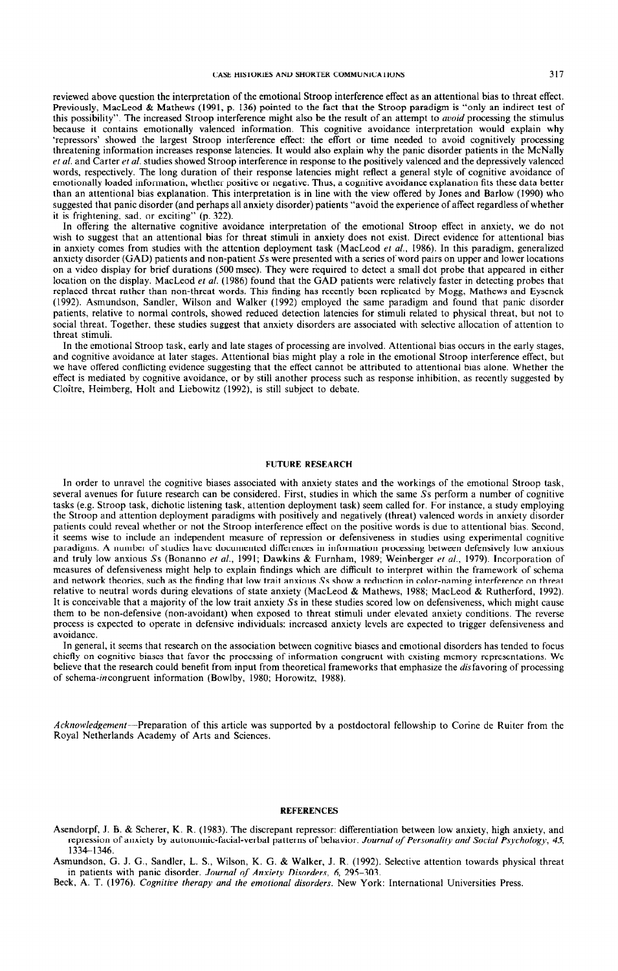reviewed above question the interpretation of the emotional Stroop interference effect as an attentional bias to threat effect. Previously, MacLeod & Mathews (1991, p. 136) pointed to the fact that the Stroop paradigm is "only an indirect test of this possibility". The increased Stroop interference might also be the result of an attempt to *avoid* processing the stimulus because it contains emotionally valenced information. This cognitive avoidance interpretation would explain why 'repressors' showed the largest Stroop interference effect: the effort or time needed to avoid cognitively processing threatening information increases response latencies. It would also explain why the panic disorder patients in the McNally ef al. and Carter et *al.* studies showed Stroop interference in response to the positively valenced and the depressively valenced words, respectively. The long duration of their response latencies might reflect a general style of cognitive avoidance of emotionally loaded information, whether positive or negative. Thus, a cognitive avoidance explanation fits these data better than an attentional bias explanation. This interpretation is in line with the view offered by Jones and Barlow (1990) who suggested that panic disorder (and perhaps all anxiety disorder) patients "avoid the experience of affect regardless of whether

it is frightening, sad, or exciting" (p. 322). In offering the alternative cognitive avoidance interpretation of the emotional Stroop effect in anxiety, we do not wish to suggest that an attentional bias for threat stimuli in anxiety does not exist. Direct evidence for attentional bias in anxiety comes from studies with the attention deployment task (MacLeod et al., 1986). In this paradigm, generalized anxiety disorder (GAD) patients and non-patient Ss were presented with a series of word pairs on upper and lower locations on a video display for brief durations (500 msec). They were required to detect a small dot probe that appeared in either location on the display. MacLeod et *al.* (1986) found that the GAD patients were relatively faster in detecting probes that

replaced threat rather than non-threat words. This finding has recently been replicated by Mogg, Mathews and Eysenck (1992). Asmundson, Sandler, Wilson and Walker (1992) employed the same paradigm and found that panic disorder patients, relative to normal controls, showed reduced detection latencies for stimuli related to physical threat, but not to social threat. Together, these studies suggest that anxiety disorders are associated with selective allocation of attention to threat stimuli.

In the emotional Stroop task, early and late stages of processing are involved. Attentional bias occurs in the early stages, and cognitive avoidance at later stages. Attentional bias might play a role in the emotional Stroop interference effect, but we have offered conflicting evidence suggesting that the effect cannot be attributed to attentional bias alone. Whether the effect is mediated by cognitive avoidance, or by still another process such as response inhibition, as recently suggested by Cloître, Heimberg, Holt and Liebowitz (1992), is still subject to debate.

#### FUTURE RESEARCH

In order to unravel the cognitive biases associated with anxiety states and the workings of the emotional Stroop task, several avenues for future research can be considered. First, studies in which the same Ss perform a number of cognitive tasks (e.g. Stroop task, dichotic listening task, attention deployment task) seem called for. For instance, a study employing the Stroop and attention deployment paradigms with positively and negatively (threat) valenced words in anxiety disorder patients could reveal whether or not the Stroop interference effect on the positive words is due to attentional bias. Second, it seems wise to include an independent measure of repression or defensiveness in studies using experimental cognitive paradigms. A number of studies have documented differences in information processing between defensively low anxious and truly low anxious Ss (Bonanno et al., 1991; Dawkins & Furnham, 1989; Weinberger et al., 1979). Incorporation of measures of defensiveness might help to explain findings which are difficult to interpret within the framework of schema and network theories, such as the finding that low trait anxious Ss show a reduction in color-naming interference on threat relative to neutral words during elevations of state anxiety (MacLeod & Mathews, 1988; MacLeod & Rutherford, 1992). It is conceivable that a majority of the low trait anxiety Ss in these studies scored low on defensiveness, which might cause them to be non-defensive (non-avoidant) when exposed to threat stimuli under elevated anxiety conditions. The reverse process is expected to operate in defensive individuals: increased anxiety levels are expected to trigger defensiveness and avoidance.

In general, it seems that research on the association between cognitive biases and emotional disorders has tended to **focus**  chiefly on cognitive biases that favor the processing of information congruent with existing memory representations. We believe that the research could benefit from input from theoretical frameworks that emphasize the disfavoring of processing of schema-incongruent information (Bowlby, 1980; Horowitz, 1988).

Acknowledgement-Preparation of this article was supported by a postdoctoral fellowship to Corine de Ruiter from the Royal Netherlands Academy of Arts and Sciences.

#### **REFERENCES**

Asendorpf, J. B. & Scherer, K. R. (1983). The discrepant repressor: differentiation between low anxiety, high anxiety, and repression of anxiety by autonomic-facial-verbal patterns of behavior. *Journal of Personality and Social Psychology, 45, 1334-1346.* 

Asmundson, G. J. G., Sandler, L. S., Wilson, K. G. & Walker, J. R. (1992). Selective attention towards physical threat in patients with panic disorder. *Journal of Anxiety Disorders, 6, 295-303.* 

Beck, A. T. (1976). *Cognitive therapy and the emotional disorders. New* York: International Universities Press.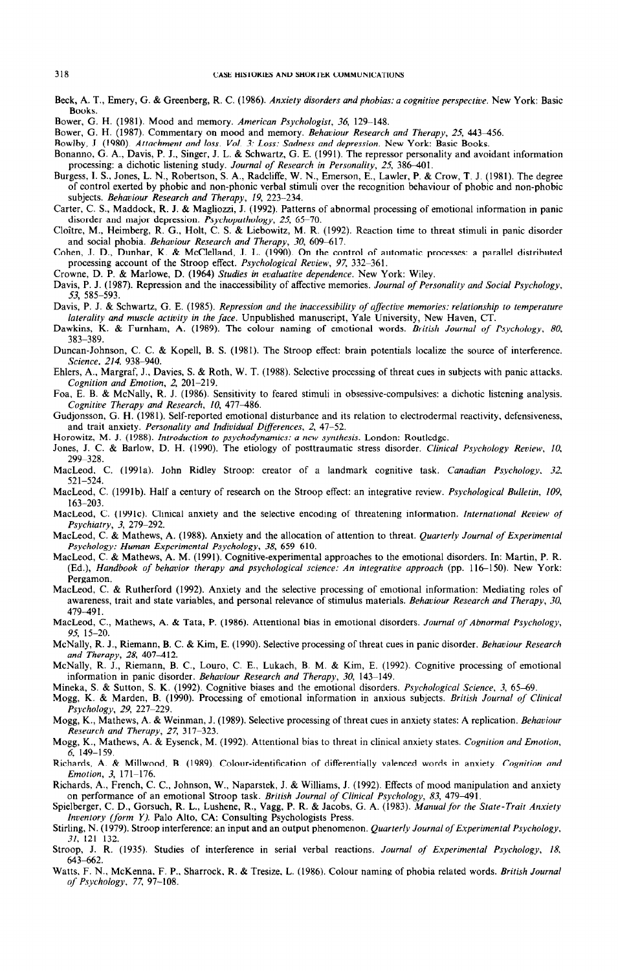- Beck, A. T., Emery, G. 8c Greenberg, R. C. (1986). *Anxiety disorders and phobias: a cognitive perspective. New* York: Basic Books.
- Bower, G. H. (1981). Mood and memory. American Psychologist, 36, 129-148.
- Bower, G. H. (1987). Commentary on mood and memory. *Behaviour Research and Therapy, 25, 443-456.*
- Bowlby, J. (1980). *Attachment and loss. Vol. 3: Loss: Sadness and depression. New* York: Basic Books.
- Bonanno, G. A., Davis, P. J., Singer, J. L. & Schwartz, G. E. (1991). The repressor personality and avoidant information processing: a dichotic listening study. *Journal of Research in Personality*, 25, 386-401.
- Burgess, I. S., Jones, L. N., Robertson, S. A., Radcliffe, W. N., Emerson, E., Lawler, P. & Crow, T. J. (1981). The degree of control exerted by phobic and non-phonic verbal stimuli over the recognition behaviour of phobic and non-phobic subjects. *Behaviour Research and Therapy, 19, 223-234.*
- Carter, C. S., Maddock, R. J. & Magliozzi, J. (1992). Patterns of abnormal processing of emotional information in panic disorder and major depression. *Psychopathology*, 25, 65-70.
- Cloitre, M., Heimberg, R. G., Holt, C. S. & Liebowitz, M. R. (1992). Reaction time to threat stimuli in panic disorder and social phobia. *Behaviour Research and Therapy*, 30, 609-617.
- Cohen, J. D., Dunbar, K. & McClelland, J. L. (1990). On the control of automatic processes: a parallel distributed processing account of the Stroop effect. *Psychological Review, 97, 332-361.*
- Crowne, D. P. & Marlowe. D. (1964) *Studies in evaluative dependence. New* York: Wilev.
- Davis, P. J. (1987). Repression and the inaccessibility of affective memories. *Journal of Personality and Social Psychology, 53, 585-593.*
- Davis, P. J. & Schwartz, G. E. (1985). *Repression and the inaccessibility of affective memories: relationship to temperature laleralify and muscle activify in the face.* Unpublished manuscript, Yale University, New Haven, CT.
- Dawkins, K. & Furnham, A. (1989). The colour naming of emotional words. *British Journal of Psychology, 80, 383-389.*
- Duncan-Johnson, C. C. & Kopell, B. S. (1981). The Stroop effect: brain potentials localize the source of interference. *Science,* 214, 938-940.
- Ehlers, A., Margraf, J., Davies, S. & Roth, W. T. (1988). Selective processing of threat cues in subjects with panic attacks. *Cognition and Emotion, 2, 201-219.*
- Foa, E. B. & McNally, R. J. (1986). Sensitivity to feared stimuli in obsessive-compulsives: a dichotic listening analysis. *Cognitive Therapy and Research, 10, 477-486.*
- Gudjonsson, G. H. (1981). Self-reported emotional disturbance and its relation to electrodermal reactivity, defensiveness, and trait anxiety. *Personality and Individual Differences, 2, 47-52.*
- Horowitz, M. J. (1988). *Introduction to psychodynamics: a new synthesis.* London: Routledge.
- Jones, J. C. & Barlow, D. H. (1990). The etiology of posttraumatic stress disorder. *Clinical Psychology Review, 10, 2999328.*
- MacLeod, C. (1991a). John Ridley Stroop: creator of a landmark cognitive task. *Canadian Psychology, 32, 521-524.*
- MacLeod, C. (1991b). Half a century of research on the Stroop effect: an integrative review. *Psychological Bulletin, 109, 163-203.*
- MacLeod, C. (1991c). Clinical anxiety and the selective encoding of threatening information. *International Review of Psychiatry, 3, 279-292.*
- MacLeod, C. & Mathews, A. (1988). Anxiety and the allocation of attention to threat. *Quarterly Journal of Experimental*  Psychology: Human Experimental Psychology, 38, 659-610.
- MacLeod, C. & Mathews, A. M. *(1991).* Cognitive-experimental approaches to the emotional disorders. In: Martin, P. R. (Ed.), *Handbook of behavior therapy and psychological science: An integrative approach (pp. 116-150). New York:* Pergamon.
- MacLeod, C. & Rutherford (1992). Anxiety and the selective processing of emotional information: Mediating roles of awareness, trait and state variables, and personal relevance of stimulus materials. *Behaviour Research and Therapy, 30, 479949* 1.
- MacLeod, C., Mathews, A. & Tata, P. (1986). Attentional bias in emotional disorders. *Journal of Abnormal Psychology, 95, 15-20.*
- McNally, R. J., Riemann, B. C. & Kim, E. (1990). Selective processing of threat cues in panic disorder. *Behaviour Research and Therapy, 28, 407-412.*
- McNally, R. J., Riemann, B. C., Louro, C. E., Lukach, B. M. & Kim, E. (1992). Cognitive processing of emotional information in panic disorder. *Behaviour Research and Therapy, 30,* 143–149.
- Mineka, S. & Sutton, S. K. (1992). Cognitive biases and the emotional disorders. *Psychological Science*, 3, 65-69.
- Mogg, K. & Marden, B. (1990). Processing of emotional information in anxious subjects. *British Journal of Clinical Psychology, 29, 227-229.*
- Mogg, K., Mathews, A. & Weinman, J. (1989). Selective processing of threat cues in anxiety states: A replication. *Eehaviour Research and Therapy, 27, 317-323.*
- Mogg, K., Mathews, A. & Eysenck, M. (1992). Attentional bias to threat in clinical anxiety states. *Cognition and Emotion, 6, 149-159.*
- Richards, A. & Millwood, B. (1989). Colour-identification of differentially valenced words in anxiety. *Cognition and Emotion, 3, 171-176.*
- Richards, A., French, C. C., Johnson, W., Naparstek, J. & Williams, J. (1992). Effects of mood manipulation and anxiety on performance of an emotional Stroop task. *British Journal of Clinical Psychology, 83*, 479-491
- Spielberger, C. D., Gorsuch, R. L., Lushene, R., Vagg, P. R. & Jacobs, G. A. (1983). *Manualfor rhe Slate-Trait Anxiety Inventory (form Y).* Palo Alto, CA: Consulting Psychologists Press.
- Stirling, N. (1979). Stroop interference: an input and an output phenomenon. *Quarterly Journal of Experimenfal Psychology, 31, 121-132.*
- Stroop, J. R. (1935). Studies of interference in serial verbal reactions. *Journal of Experimental Psychology, 18, 643662.*
- Watts, F. N., McKenna, F. P., Sharrock, R. & Tresize, L. (1986). Colour naming of phobia related words. *British Journal of Psychology, 77, 97-108.*